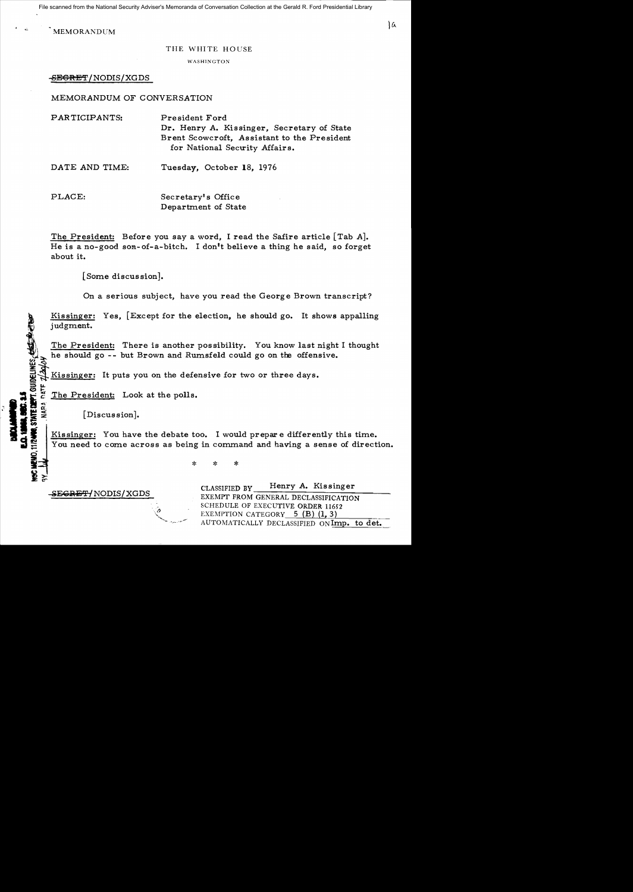File scanned from the National Security Adviser's Memoranda of Conversation Collection at the Gerald R. Ford Presidential Library

MEMORANDUM

WASHINGTON

-SEGRET/NODIS/XGDS

# MEMORANDUM OF CONVERSATION

| PARTICIPANTS:  | President Ford<br>Dr. Henry A. Kissinger, Secretary of State<br>Brent Scowcroft, Assistant to the President<br>for National Security Affairs. |
|----------------|-----------------------------------------------------------------------------------------------------------------------------------------------|
| DATE AND TIME: | Tuesday, October 18, 1976                                                                                                                     |

PLACE: Secretary's Office Department of State

The President: Before you say a word, I read the Safire article  $[Tab A]$ . He is a no-good son-of-a-bitch. I don't believe a thing he said, so forget about it.

[Some discussion].

On a serious subject, have you read the George Brown transcript?

Kissinger: Yes, [Except for the election, he should go. It shows appalling judgment.

The President: There is another possibility. You know last night I thought he should go -- but Brown and Rumsfeld could go on the offensive.<br>
<u>Kissinger:</u> It puts you on the defensive for two or three days.<br>
<u>For the President:</u> Look at the polls.

The President: Look at the polls.

[Discussion].

DEPT. GUIDELINES, COLLE

Kissinger: You have the debate too. I would prepare differently this time. You need to come across as being in command and having a sense of direction.

 $\begin{array}{c}\n\mathbf{H} \mathbf{H} \mathbf{H} \mathbf{O} & \mathbf{H} \mathbf{H} \mathbf{O} & \mathbf{H} \mathbf{H} \mathbf{H} & \mathbf{H} \mathbf{H} & \mathbf{H} \mathbf{H} & \mathbf{H} \mathbf{H} & \mathbf{H} \mathbf{H} & \mathbf{H} \mathbf{H} & \mathbf{H} \mathbf{H} & \mathbf{H} \mathbf{H} & \mathbf{H} \mathbf{H} & \mathbf{H} \mathbf{H} & \mathbf{H} \mathbf{H} & \mathbf{H} \mathbf{H} & \mathbf{H}$ \* \*

-SEGRET/NODIS/XGDS

CLASSIFIED BY Henry A. Kissinger EXEMPT FROM GENERAL DECLASSIFICATION SCHEDULE OF EXECUTIVE ORDER 11652 EXEMPTION CATEGORY  $5$  (B) (1, 3) AUTOMATICALLY DECLASSIFIED oNImp. to det.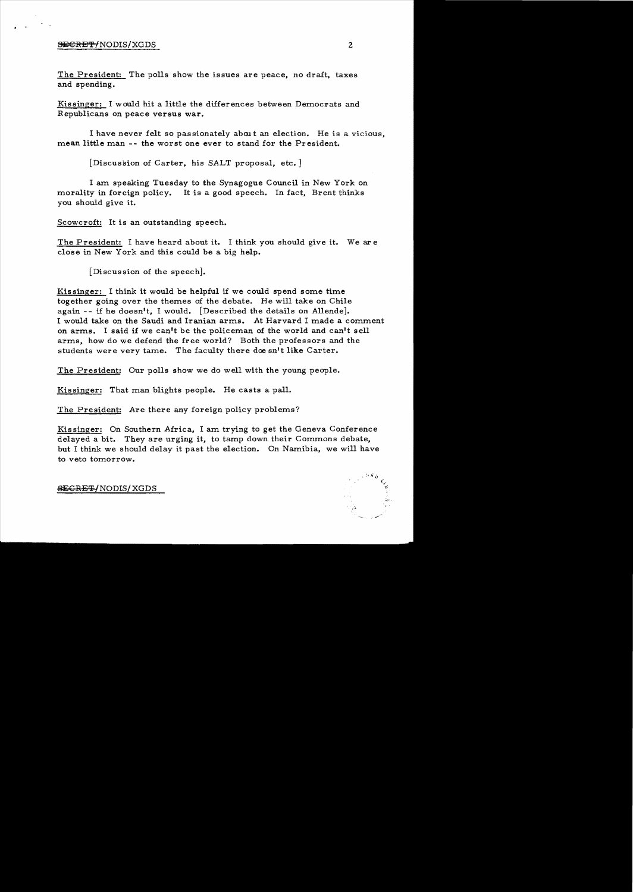### <del>SECRET/</del>NODIS/XGDS 2

The President: The polls show the issues are peace, no draft, taxes and spending.

Kissinger: I would hit a little the differences between Democrats and Republicans on peace versus war.

I have never felt so passionately about an election. He is a vicious. mean little man **--** the worst one ever to stand for the President.

[Discussion of Carter, his SALT proposal, etc.]

I am speaking Tuesday to the Synagogue Council in New York on morality in foreign policy. It is a good speech. In fact, Brent thinks you should give it.

Scowcroft: It is an outstanding speech.

The President: I have heard about it. I think you should give it. We are close in New York and this could be a big help.

[Discussion of the speech].

Kissinger: I think it would be helpful if we could spend some time together going over the themes of the debate. He will take on Chile again **--** if he doesn't, I would. [Described the details on Allende]. I would take on the Saudi and Iranian arms. At Harvard I made a comment on arms. I said if we can't be the policeman of the world and can't sell arms, how do we defend the free world? Both the professors and the students were very tame. The faculty there doe sn't like Carter.

The President: Our polls show we do well with the young people.

Kissinger: That man blights people. He casts a pall.

The President: Are there any foreign policy problems?

Kissinger: On Southern Africa, I am trying to get the Geneva Conference delayed a bit. They are urging it, to tamp down their Commons debate, but I think we should delay it past the election. On Namibia, we will have to veto tomorrow.

~GRET-INODIS/XGDS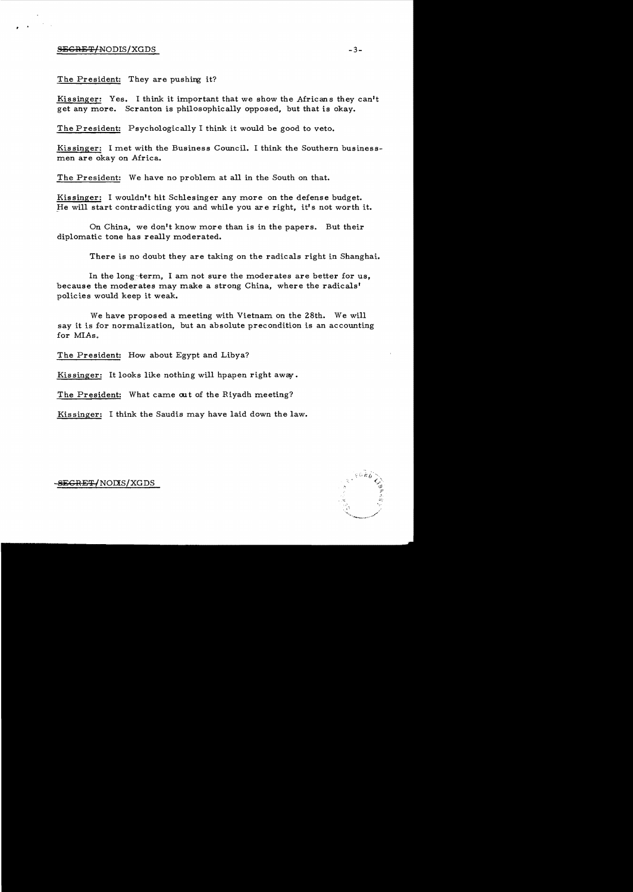# S<del>ECRET/</del>NODIS/XGDS -3-

, .

# The President: They are pushing it?

Kissinger: Yes. I think it important that we show the Africans they can't get any more. Scranton is philosophically opposed, but that is okay.

The President: Psychologically I think it would be good to veto.

Kissinger: I met with the Business Council. I think the Southern businessmen are okay on Africa.

The President: We have no problem at all in the South on that.

Kissinger: I wouldn't hit Schlesinger any more on the defense budget. He will start contradicting you and while you are right, it's not worth it.

On China, we don't know more than is in the papers. But their diplomatic tone has really moderated.

There is no doubt they are taking on the radicals right in Shanghai.

In the long~term. I am not sure the moderates are better for us, because the moderates may make a strong China, where the radicals' policies would keep it weak.

We have proposed a meeting with Vietnam on the 28th. We will say it is for normalization, but an absolute precondition is an accounting for *MIAs.* 

The President: How about Egypt and Libya?

Kissinger: It looks like nothing will hpapen right away.

The President: What came out of the Riyadh meeting?

Kissinger: I think the Saudis may have laid down the law.

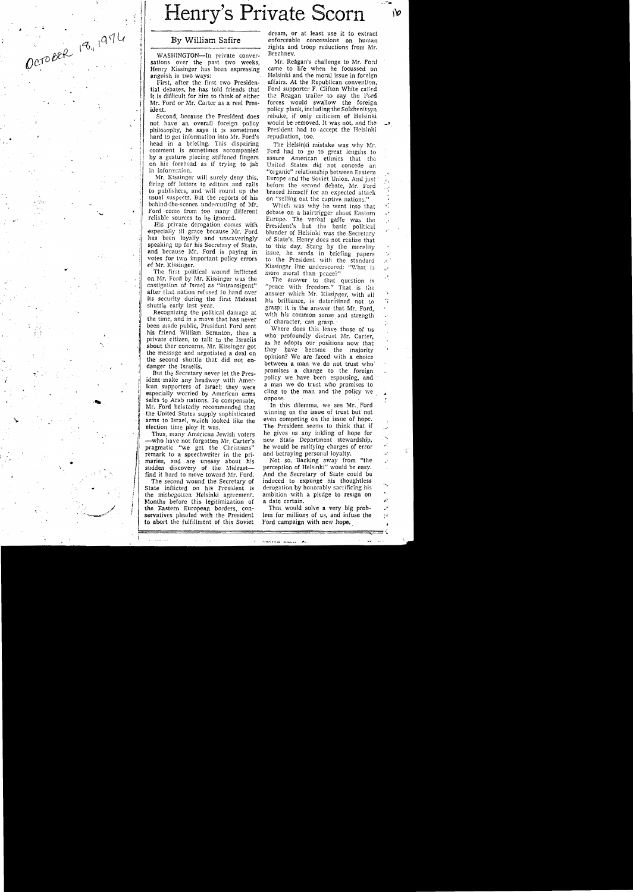# **Henry's Private Scorn**

OCTOBER 18, 1974

WASHINGTON—In private conver- Brezhnev.<br>tions over the past two weeks. Mr. Reagan's challenge to Mr. Ford sations over the past two weeks, Mr. Reagan's challenge to Mr. Ford Henry Kissinger has been expressing came to life when he focussed on Henry Kissinger has been expressing<br>anguish in two ways:

tial debates, he -has told friends that Ford supporter F. Clifton White called it is difficult for him to think of either the Reagan trailer to say the Ford it is difficult for him to think of either Mr. Ford or Mr. Carter as a real Pres-Mr. Ford or Mr. Carter as a real Pres- forces would swallow the foreign ident.

not have an overall foreign policy would be removed. It was not, and the philosophy, he says it is sometimes President had to accept the Helsinki philosophy, he says it is sometimes President had to hard to had to had to help the Helsinking the Helsingh to  $\mu$ hard to get information into Mr. Ford's head in a briefing. This dispairing head in a briefing. This dispairing The Helsinki mistake was why Mr.<br>comment is sometimes accompanied Ford had to so to great lengths to comment is sometimes accompanied Ford had to go to great lengths to by a gesture placing stiffened fingers assure American ethnics that the

Mr. Kissinger will surely deny this, Europe and the Soviet Union. And just firing off letters to editors and calls before the second debate, Mr. Ford to publishers, and will round up the braced himself for an expected atta to publishers, and will round up the braced himself for an expected attack<br>usual suspects. But the reports of his son "selling out the cantive nations" usual suspects. But the reports of his on "selling out the captive nations." behind-the-scenes undercutting of Mr. Which was why he went into the behind-the-scenes undercutting of Mr. Which was why he went into that Ford come from too many different debate on a hairtrieger about Eastern Ford come from too many different debate on a hairtrigger about Eastern<br>reliable sources to be ignored. Furone. The verbal gaffe was the

His private derogation comes with President's but the basic political especially iII grace because Mr. Ford blunder of Helsinki was the Secretary has been loyally and unwaveringly of State's. Henry does not realize that has been loyally and unwaveringly of State's. Henry does not realize that speaking up for his Secretary of State, to this day. Stung by the morality and because Mr. Ford is paying in issue, he sends in briefing papers vote votes for two important policy errors<br>of Mr. Kissinger.

on Mr. Ford by Mr. Kissinger was the The answer to that question is castigation of Israel as "intransigent" "peace with freedom" That is the castigation of Israel as "intransigent" "peace with freedom." That is the after that nation refused to hand over answer which Mr. Kissinger with all after that nation refused to hand over answer which Mr. Kissinger, with all its security during the first Mideast the brilliance is determined not to

shuttle early last year. grasp; it is the answer that Mr. Ford, Recognizing the political damage at with his common sense and strenoth I the time, and in a move that has never of character, can grasp.-' b

ican supporters of Israel; they were a man we go trust who promises to especially worried by American arms cling to the man and the policy we sales to Arab ustions. To companishe sales to Arab nations. To compensate, oppose.<br>Mr. Ford belatedly recommended that II this dilemma, we see Mr. Ford<br>the United States supply sophisticated winning on the issue of trust but not arms to Israel, which looked like the even competing on the issue of hope.<br>
election time ploy it was. The President seems to think that if

-who have not forgotten Mr. Carter's new State Department stewardship, pragmatic "we get the Christians" he would be ratifying charges of error if the Christians" he would be ratifying charges of error remark to a speechwriter in the pri and betraying personal loyalty. maries, and are uneasy about his Not so. Backing away from "the sudden discovery of the Mideast- perception of Helsinki" would be easy.<br>
find it hard to move toward Mr. Ford. And the Secretary of State could be

<u>International Property</u>

 $\prod_{i=1}^n$ 

i I

State inflicted on his President is derogation by honorably sacrificing his<br>the misbegotten Helsinki agreement, ambition with a pledge to resign on<br>Months before this legitimization of a date certain. Months before this legitimization of a date certain. the Eastern European borders, con- That would solve a very big probservatives pleaded with the President lem for millions of us, and infuse the to abort the fulfillment of this Soviet Ford campaign with new hope, to abort the fulfillment of this Soviet.

dream, or at least use it to extract By William Safire enforceable concessions on human rights and troop reductions from Mr.

Helsinki and the moral issue in foreign affairs. At the Republican convention. First, after the first two Presiden- affairs. At the Republican convention,  $d$  debates, he has told friends that Ford supporter F. Clifton White called ent. policy plank, including the Solzhenitsyn<br>Second, because the President does rebuke, if only criticism of Helsinki rebuke, if only criticism of Helsinki would be removed. It was not, and the

on his forehead as if trying to jab United States did not concede an information. "organic" relationship between Eastern Mr. Kissinger will surely deny this. Europe and the Soviet Union. And just

a,

ır\*

reliable sources to be ignored. Europe. The verbal gaffe was the Mr. Kissinger. Muslimger Hine underscored: "What is<br>The first political wound inflicted more moral than peace?"

its security during the first Mideast his brilliance, is determined not to shuttle early last year. The grasp; it is the answer that Mr. Ford.

been made public, President Ford sent<br>bis friend William Scranton, then a who profoundly distrust Mr. Carter,<br>private citizen, to talk to the Israelis who profoundly distrust Mr. Carter,<br>about the concerns. Mr. Kissinger g

ection time ploy it was. The President seems to think that if Thus, many American Jewish voters he gives us any inkling of hope for Thus, many American Jewish voters he gives us any inkling of hope for —who have not forgotten Mr. Carter's new State Department stewardship,

find it hard to move toward Mr. Ford. And the Secretary of State could be The second wound the Secretary of induced to expunge his thoughtless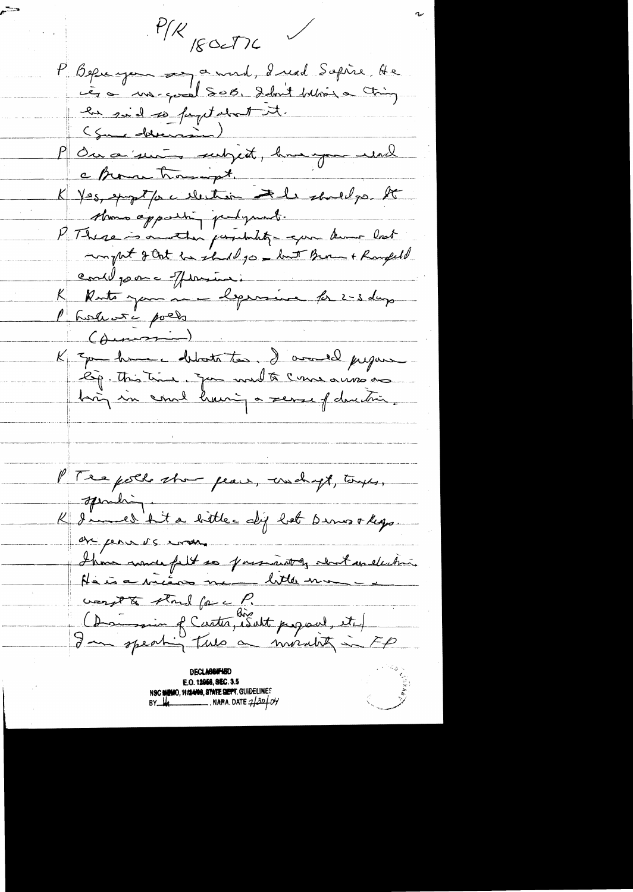$P/K$  reactive P Beprengen and a mord, I read Sopire, He<br>is a margonal SOB. Idn't beloom a Ching<br>en said so fantalent it.<br>(Some determined)<br>en Berna Frangot. a Brown trought Le Brown homeopt.<br>K Yes, spipetfore electron Ind.<br>Almo apparent perfumet.<br>P There is another permiting a fort Brown and en violence Jurie :<br>K Rute jame l'epresse le 2-3 dup K = que hun debota too. I amed jugar PTee poll show pears, crosshapt, tous, spiriting K d'une d'hit a bitter dij het Dinookgo. are penners error. Ihm words filt so presenting doct and which the indicate me did not an electrical the company of content and the normality in FP E.O. 12058, SEC. 3.5 NSC MUMO, 11/14/06, STATE DEPT. GUIDELINES an<br>Maria Barat Barat Barat Barat Barat Barat Barat Barat Barat Barat Barat Barat Barat Barat Barat Barat Barat B<br>Barat Barat Barat Barat Barat Barat Barat Barat Barat Barat Barat Barat Barat Barat Barat Barat Barat Barat B  $BY$   $\frac{1}{4}$   $\frac{1}{2}$   $\frac{1}{2}$   $\frac{1}{2}$   $\frac{1}{2}$   $\frac{1}{2}$   $\frac{1}{2}$   $\frac{1}{2}$   $\frac{1}{2}$   $\frac{1}{2}$   $\frac{1}{2}$   $\frac{1}{2}$   $\frac{1}{2}$   $\frac{1}{2}$   $\frac{1}{2}$   $\frac{1}{2}$   $\frac{1}{2}$   $\frac{1}{2}$   $\frac{1}{2}$   $\frac{1}{2}$   $\frac{1}{2}$   $\frac{1}{2$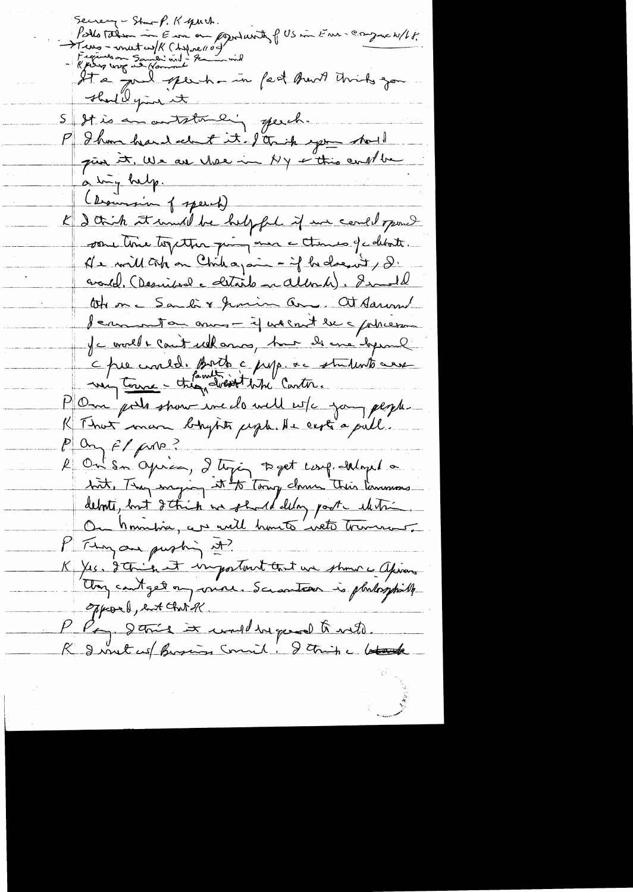Secrecy - Show-P. K years. Pollo Talem in Euri on portunte f US in Eur- Congress W/LF. Two - metal/K (Aspecto)<br>Francon Sandi mil - Rammel<br>Ha pulled per hammel (est Anna Units gan that & your it 5 st is an autotomicing speech. P I have heard about it. I trick agence should pair it, We are there in My + this cent be a try help. ( brownsion of speech) K 2 thick at mull be helpful if we could pour some line together quin more a times of collocite. As will tak on Chileagain - if he doesn't, d. availled. (Desiribual e destarto en Albrech). Invental tote on Sandi & Junior and at Saram Jean enton anno - if we cont le c potresse Je mort lait ellanos, hui de me hyme à pre croire de Botte à pape à studente avec P On pole show we do will wife you people K That man bhytits jegb. He certs a pull.  $\ell^{10}$   $\mu^{10}$   $\ell^{10}$   $\mu^{10}$ R On Sn Oyina, I tyj toget comprehend a bit, They maying it to Tony down This Panners. debots, but détrie me should deloy post entitre. P Fing an pushing at? K XIS. Itanien et important tout un shour a apris they cont get on vine. Scranteau is platosphille Opposed, and Chat of P. Pay Strick it und in quod to noto.